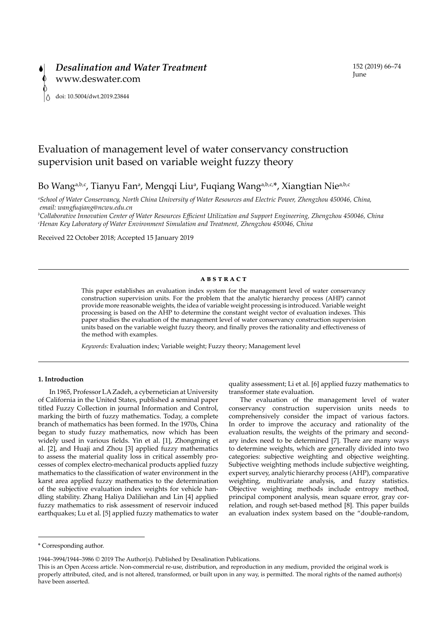# Evaluation of management level of water conservancy construction supervision unit based on variable weight fuzzy theory

Bo Wang<sup>a,b,c</sup>, Tianyu Fan<sup>a</sup>, Mengqi Liu<sup>a</sup>, Fuqiang Wang<sup>a,b,c,\*</sup>, Xiangtian Nie<sup>a,b,c</sup>

*a School of Water Conservancy, North China University of Water Resources and Electric Power, Zhengzhou 450046, China, email: wangfuqiang@ncwu.edu.cn*

*b Collaborative Innovation Center of Water Resources Efficient Utilization and Support Engineering, Zhengzhou 450046, China c Henan Key Laboratory of Water Environment Simulation and Treatment, Zhengzhou 450046, China*

Received 22 October 2018; Accepted 15 January 2019

#### **ABSTRACT**

This paper establishes an evaluation index system for the management level of water conservancy construction supervision units. For the problem that the analytic hierarchy process (AHP) cannot provide more reasonable weights, the idea of variable weight processing is introduced. Variable weight processing is based on the AHP to determine the constant weight vector of evaluation indexes. This paper studies the evaluation of the management level of water conservancy construction supervision units based on the variable weight fuzzy theory, and finally proves the rationality and effectiveness of the method with examples.

*Keywords:* Evaluation index; Variable weight; Fuzzy theory; Management level

# **1. Introduction**

In 1965, Professor LA Zadeh, a cybernetician at University of California in the United States, published a seminal paper titled Fuzzy Collection in journal Information and Control, marking the birth of fuzzy mathematics. Today, a complete branch of mathematics has been formed. In the 1970s, China began to study fuzzy mathematics, now which has been widely used in various fields. Yin et al. [1], Zhongming et al. [2], and Huaji and Zhou [3] applied fuzzy mathematics to assess the material quality loss in critical assembly processes of complex electro-mechanical products applied fuzzy mathematics to the classification of water environment in the karst area applied fuzzy mathematics to the determination of the subjective evaluation index weights for vehicle handling stability. Zhang Haliya Daliliehan and Lin [4] applied fuzzy mathematics to risk assessment of reservoir induced earthquakes; Lu et al. [5] applied fuzzy mathematics to water

quality assessment; Li et al. [6] applied fuzzy mathematics to transformer state evaluation.

The evaluation of the management level of water conservancy construction supervision units needs to comprehensively consider the impact of various factors. In order to improve the accuracy and rationality of the evaluation results, the weights of the primary and secondary index need to be determined [7]. There are many ways to determine weights, which are generally divided into two categories: subjective weighting and objective weighting. Subjective weighting methods include subjective weighting, expert survey, analytic hierarchy process (AHP), comparative weighting, multivariate analysis, and fuzzy statistics. Objective weighting methods include entropy method, principal component analysis, mean square error, gray correlation, and rough set-based method [8]. This paper builds an evaluation index system based on the "double-random,

<sup>\*</sup> Corresponding author.

<sup>1944–3994/1944–3986 © 2019</sup> The Author(s). Published by Desalination Publications.

This is an Open Access article. Non-commercial re-use, distribution, and reproduction in any medium, provided the original work is properly attributed, cited, and is not altered, transformed, or built upon in any way, is permitted. The moral rights of the named author(s) have been asserted.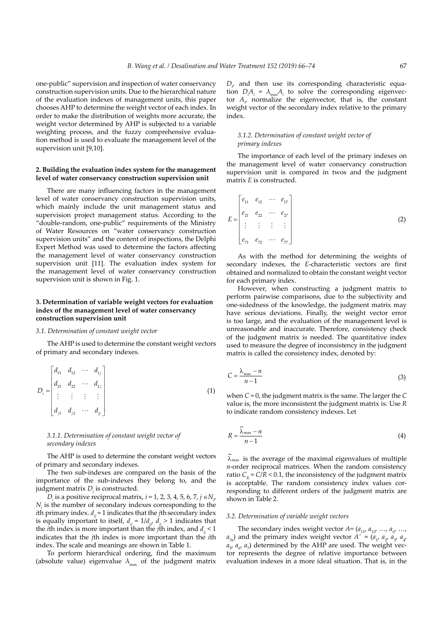one-public" supervision and inspection of water conservancy construction supervision units. Due to the hierarchical nature of the evaluation indexes of management units, this paper chooses AHP to determine the weight vector of each index. In order to make the distribution of weights more accurate, the weight vector determined by AHP is subjected to a variable weighting process, and the fuzzy comprehensive evaluation method is used to evaluate the management level of the supervision unit [9,10].

## **2. Building the evaluation index system for the management level of water conservancy construction supervision unit**

There are many influencing factors in the management level of water conservancy construction supervision units, which mainly include the unit management status and supervision project management status. According to the "double-random, one-public" requirements of the Ministry of Water Resources on "water conservancy construction supervision units" and the content of inspections, the Delphi Expert Method was used to determine the factors affecting the management level of water conservancy construction supervision unit [11]. The evaluation index system for the management level of water conservancy construction supervision unit is shown in Fig. 1.

# **3. Determination of variable weight vectors for evaluation index of the management level of water conservancy construction supervision unit**

## *3.1. Determination of constant weight vector*

The AHP is used to determine the constant weight vectors of primary and secondary indexes.

$$
D_i = \begin{bmatrix} d_{11} & d_{12} & \cdots & d_{1j} \\ d_{21} & d_{22} & \cdots & d_{2j} \\ \vdots & \vdots & \vdots & \vdots \\ d_{j1} & d_{j2} & \cdots & d_{jj} \end{bmatrix}
$$
 (1)

## *3.1.1. Determination of constant weight vector of secondary indexes*

The AHP is used to determine the constant weight vectors of primary and secondary indexes.

The two sub-indexes are compared on the basis of the importance of the sub-indexes they belong to, and the judgment matrix  $D_i$  is constructed.

*D*<sub>*i*</sub> is a positive reciprocal matrix, *i* = 1, 2, 3, 4, 5, 6, 7, *j* ∈  $N_{\gamma}$  $N<sub>i</sub>$  is the number of secondary indexes corresponding to the *i*th primary index.  $d_{ij}$  = 1 indicates that the *j*th secondary index is equally important to itself,  $d_{ij} = 1/d_{ij}$ ,  $d_{ij} > 1$  indicates that the *i*th index is more important than the *j*th index, and  $d<sub>ii</sub> < 1$ indicates that the *j*th index is more important than the *i*th index. The scale and meanings are shown in Table 1.

To perform hierarchical ordering, find the maximum (absolute value) eigenvalue  $\lambda_{\text{max}}$  of the judgment matrix

 $D_{i}$  and then use its corresponding characteristic equation  $D_i A_i = \lambda_{\text{max}} A_i$  to solve the corresponding eigenvector  $A_{\mu}$  normalize the eigenvector, that is, the constant weight vector of the secondary index relative to the primary index.

## *3.1.2. Determination of constant weight vector of primary indexes*

The importance of each level of the primary indexes on the management level of water conservancy construction supervision unit is compared in twos and the judgment matrix *E* is constructed.

$$
E = \begin{bmatrix} e_{11} & e_{12} & \cdots & e_{17} \\ e_{21} & e_{22} & \cdots & e_{27} \\ \vdots & \vdots & \vdots & \vdots \\ e_{71} & e_{72} & \cdots & e_{77} \end{bmatrix}
$$
 (2)

As with the method for determining the weights of secondary indexes, the *E*-characteristic vectors are first obtained and normalized to obtain the constant weight vector for each primary index.

However, when constructing a judgment matrix to perform pairwise comparisons, due to the subjectivity and one-sidedness of the knowledge, the judgment matrix may have serious deviations. Finally, the weight vector error is too large, and the evaluation of the management level is unreasonable and inaccurate. Therefore, consistency check of the judgment matrix is needed. The quantitative index used to measure the degree of inconsistency in the judgment matrix is called the consistency index, denoted by:

$$
C = \frac{\lambda_{\text{max}} - n}{n - 1} \tag{3}
$$

when *C* = 0, the judgment matrix is the same. The larger the *C* value is, the more inconsistent the judgment matrix is. Use *R* to indicate random consistency indexes. Let

$$
R = \frac{\lambda_{\text{max}} - n}{n - 1} \tag{4}
$$

 $\lambda_{\text{max}}$  is the average of the maximal eigenvalues of multiple *n*-order reciprocal matrices. When the random consistency ratio  $C_R$  =  $C/R$  < 0.1, the inconsistency of the judgment matrix is acceptable. The random consistency index values corresponding to different orders of the judgment matrix are shown in Table 2.

#### *3.2. Determination of variable weight vectors*

The secondary index weight vector  $A = (a_{11}, a_{12}, \ldots, a_{i1}, \ldots, a_{iN})$  $a_{76}$ ) and the primary index weight vector  $A' = (a_1, a_2, a_3, a_4)$  $a_{5}$ ,  $a_{6}$ ,  $a_{7}$ ) determined by the AHP are used. The weight vector represents the degree of relative importance between evaluation indexes in a more ideal situation. That is, in the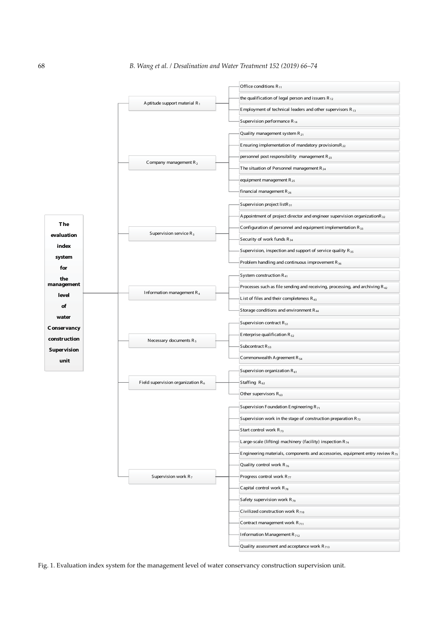

Fig. 1. Evaluation index system for the management level of water conservancy construction supervision unit.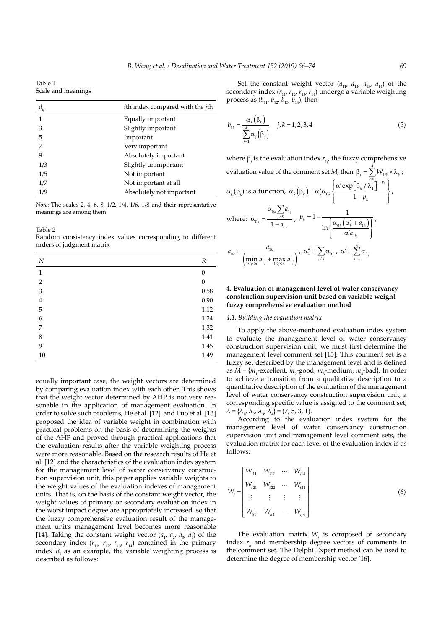Table 1 Scale and meanings

| $d_{ij}$ | <i>i</i> th index compared with the <i>j</i> th |
|----------|-------------------------------------------------|
| 1        | Equally important                               |
| 3        | Slightly important                              |
| 5        | Important                                       |
|          | Very important                                  |
| 9        | Absolutely important                            |
| 1/3      | Slightly unimportant                            |
| 1/5      | Not important                                   |
| 1/7      | Not important at all                            |
| 1/9      | Absolutely not important                        |
|          |                                                 |

*Note*: The scales 2, 4, 6, 8, 1/2, 1/4, 1/6, 1/8 and their representative meanings are among them.

Table 2

Random consistency index values corresponding to different orders of judgment matrix

| N              | R                |
|----------------|------------------|
| 1              | $\Omega$         |
| $\overline{2}$ | $\boldsymbol{0}$ |
| 3              | 0.58             |
| $\overline{4}$ | 0.90             |
| 5              | 1.12             |
| 6              | 1.24             |
| 7              | 1.32             |
| 8              | 1.41             |
| 9              | 1.45             |
| $10\,$         | 1.49             |

equally important case, the weight vectors are determined by comparing evaluation index with each other. This shows that the weight vector determined by AHP is not very reasonable in the application of management evaluation. In order to solve such problems, He et al. [12] and Luo et al. [13] proposed the idea of variable weight in combination with practical problems on the basis of determining the weights of the AHP and proved through practical applications that the evaluation results after the variable weighting process were more reasonable. Based on the research results of He et al. [12] and the characteristics of the evaluation index system for the management level of water conservancy construction supervision unit, this paper applies variable weights to the weight values of the evaluation indexes of management units. That is, on the basis of the constant weight vector, the weight values of primary or secondary evaluation index in the worst impact degree are appropriately increased, so that the fuzzy comprehensive evaluation result of the management unit's management level becomes more reasonable [14]. Taking the constant weight vector  $(a_1, a_2, a_3, a_4)$  of the secondary index  $(r_{11}, r_{12}, r_{13}, r_{14})$  contained in the primary index *R<sub>i</sub>* as an example, the variable weighting process is described as follows:

Set the constant weight vector  $(a_{11}, a_{12}, a_{13}, a_{14})$  of the secondary index  $(r_{11}, r_{12}, r_{13}, r_{14})$  undergo a variable weighting process as  $(b_{11}, b_{12}, b_{13}, b_{14})$ , then

$$
b_{1k} = \frac{\alpha_k(\beta_k)}{\sum_{j=1}^4 \alpha_j(\beta_j)} \qquad j, k = 1, 2, 3, 4
$$
 (5)

where  $\beta_j$  is the evaluation index  $r_{1j'}$  the fuzzy comprehensive evaluation value of the comment set *M*, then  $\beta_j = \sum_{k=1}^{N} W_{1jk} \times \lambda_k$  $\sum_{i=1}^{4} W_{i,k} \times \lambda_{i}$ ;  $\alpha_k(\beta_k)$  is a function,  $\alpha_k(\beta_k) = \alpha_k'' \alpha_{0k} \sqrt{\frac{\alpha' \exp[\beta_k/\lambda_k]}{n}}$ *p k*  $\beta_k$  =  $\alpha_k^r \alpha_{0k}$   $\left\{\frac{\alpha' \exp[\beta_k / \lambda_1]^{1-p_k}}{1-p_k}\right\}$ −  $\sqrt{ }$  $\left\{ \right.$  $\overline{\mathcal{L}}$  $\mathcal{I}$  $\left\{ \right.$  $\bigg)$ −  $\frac{\alpha \exp[\frac{P_k}{r}]}{1-r}$ 1  $\frac{\exp[\beta_k/\lambda_1]^{\frac{p_k}{p_k}}}{1-p_k}$ where: α α  $\mathbf{0}$ 0 k $\sum$ <sup>u</sup>1  $k - 1 - a_0$  $\sum_{j \neq k}$ <sup>u</sup> <sub>1</sub> *k a*  $= \frac{\alpha_{0k} \sum_{j \neq k}}{1 - a}$  $, p_k = 1 - \frac{1}{\sqrt{\alpha_{0k} (\alpha_k'' + a_k)}}$ *a*  $\int k^{n+1}$   $\int \alpha_{0k} \left( \alpha''_k + a_{1k} \right)$ *k*  $= 1 - \frac{1}{\sqrt{\alpha_{0k} (\alpha_k'' + a_{1k})}}$ ′  $\sqrt{ }$  $\left\{ \right.$  $\overline{\mathcal{L}}$  $\mathbf{I}$  $\left\{ \right.$ J  $1 - \frac{1}{\sqrt{1-\frac{1}{\sqrt{1-\frac{1}{\sqrt{1-\frac{1}{\sqrt{1-\frac{1}{\sqrt{1-\frac{1}{\sqrt{1-\frac{1}{\sqrt{1-\frac{1}{\sqrt{1-\frac{1}{\sqrt{1-\frac{1}{\sqrt{1-\frac{1}{\sqrt{1-\frac{1}{\sqrt{1-\frac{1}{\sqrt{1-\frac{1}{\sqrt{1-\frac{1}{\sqrt{1-\frac{1}{\sqrt{1-\frac{1}{\sqrt{1-\frac{1}{\sqrt{1-\frac{1}{\sqrt{1-\frac{1}{\sqrt{1-\frac{1}{\sqrt{1-\frac{1}{\sqrt{1-\frac{1}{\sqrt{1-\frac{1}{\sqrt{1-\frac$  $0k \left( \begin{array}{ccc} 0 & \alpha & \alpha \\ \alpha & \alpha & \alpha \end{array} \right)$ 1  $\ln \left\{\frac{\alpha_{0k}(\alpha)}{\alpha}\right\}$ ,  $a_{0k} = \frac{a}{a_k}$  $k = \frac{a_{1k}}{\sin a_{1i} + \cos a}$  $\lim_{j \le n} u_{1j} + \lim_{1 \le j \le n} u_{1j}$  $v_{0k} = \frac{u_1}{l}$  $\lim_{1 \le j \le n} u_{1j} + \lim_{1 \le j \le n} u_1$ =  $\left( \min_{1 \le j \le n} a_{1j} + \max_{1 \le j \le n} a_{1j} \right)$ ,  $\alpha''_k = \sum_{j \neq k} \alpha_{0j}^{\qquad}$ ,  $\alpha' = \sum_{j=1} \alpha_0^{\qquad}$ 4  $\sum_{j=1}$ <sup> $\infty$ </sup><sup>0</sup><sub>j</sub>

# **4. Evaluation of management level of water conservancy construction supervision unit based on variable weight fuzzy comprehensive evaluation method**

#### *4.1. Building the evaluation matrix*

To apply the above-mentioned evaluation index system to evaluate the management level of water conservancy construction supervision unit, we must first determine the management level comment set [15]. This comment set is a fuzzy set described by the management level and is defined as  $M = \{m_1$ -excellent,  $m_2$ -good,  $m_3$ -medium,  $m_4$ -bad}. In order to achieve a transition from a qualitative description to a quantitative description of the evaluation of the management level of water conservancy construction supervision unit, a corresponding specific value is assigned to the comment set,  $\lambda = {\lambda_1, \lambda_2, \lambda_3, \lambda_4} = (7, 5, 3, 1).$ 

According to the evaluation index system for the management level of water conservancy construction supervision unit and management level comment sets, the evaluation matrix for each level of the evaluation index is as follows:

$$
W_{i} = \begin{bmatrix} W_{i11} & W_{i12} & \cdots & W_{i14} \\ W_{i21} & W_{i22} & \cdots & W_{i24} \\ \vdots & \vdots & \vdots & \vdots \\ W_{ij1} & W_{ij2} & \cdots & W_{ij4} \end{bmatrix}
$$
 (6)

The evaluation matrix  $W_i$  is composed of secondary index  $r_{ii}$  and membership degree vectors of comments in the comment set. The Delphi Expert method can be used to determine the degree of membership vector [16].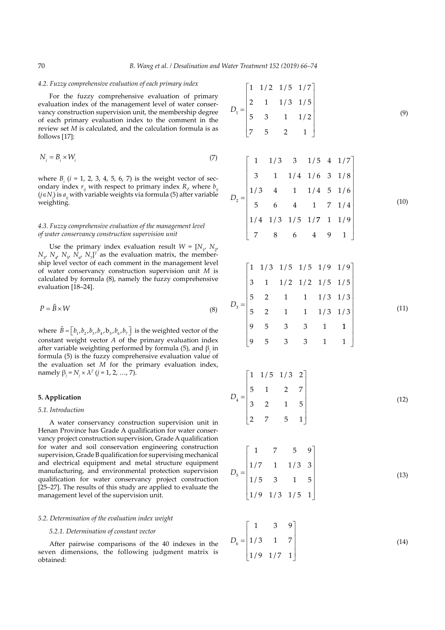#### *4.2. Fuzzy comprehensive evaluation of each primary index*

For the fuzzy comprehensive evaluation of primary evaluation index of the management level of water conservancy construction supervision unit, the membership degree of each primary evaluation index to the comment in the review set *M* is calculated, and the calculation formula is as follows [17]:

$$
N_i = B_i \times W_i \tag{7}
$$

where  $B_i$  ( $i = 1, 2, 3, 4, 5, 6, 7$ ) is the weight vector of secondary index  $r_{ij}$  with respect to primary index  $R_{i}$ , where  $b_{ij}$ (*j*∈*Ni* ) is *aij* with variable weights via formula (5) after variable weighting.

## *4.3. Fuzzy comprehensive evaluation of the management level of water conservancy construction supervision unit*

Use the primary index evaluation result  $W = [N_1, N_2, N_3]$  $N_{\mathcal{Y}}$   $N_{\mathcal{U}}$   $N_{\mathcal{I}}$   $N_{\mathcal{U}}$   $N_{\mathcal{I}}$ ]<sup>T</sup> as the evaluation matrix, the membership level vector of each comment in the management level of water conservancy construction supervision unit *M* is calculated by formula (8), namely the fuzzy comprehensive evaluation [18–24].

$$
P = \tilde{B} \times W \tag{8}
$$

where  $\tilde{B} = \begin{bmatrix} b_1, b_2, b_3, b_4, b_5, b_6, b_7 \end{bmatrix}$  is the weighted vector of the constant weight vector *A* of the primary evaluation index after variable weighting performed by formula (5), and  $\beta$ <sub>*j*</sub> in formula (5) is the fuzzy comprehensive evaluation value of the evaluation set *M* for the primary evaluation index, namely  $β<sub>i</sub> = N<sub>i</sub> × λ<sup>T</sup>$  (*j* = 1, 2, …, 7).

# **5. Application**

# *5.1. Introduction*

A water conservancy construction supervision unit in Henan Province has Grade A qualification for water conservancy project construction supervision, Grade A qualification for water and soil conservation engineering construction supervision, Grade B qualification for supervising mechanical and electrical equipment and metal structure equipment manufacturing, and environmental protection supervision qualification for water conservancy project construction [25–27]. The results of this study are applied to evaluate the management level of the supervision unit.

## *5.2. Determination of the evaluation index weight*

# *5.2.1. Determination of constant vector*

After pairwise comparisons of the 40 indexes in the seven dimensions, the following judgment matrix is obtained:

$$
D_{1} = \begin{bmatrix} 1 & 1/2 & 1/5 & 1/7 \\ 2 & 1 & 1/3 & 1/5 \\ 5 & 3 & 1 & 1/2 \\ 7 & 5 & 2 & 1 \end{bmatrix}
$$
(9)

$$
D_2 = \begin{bmatrix} 1 & 1/3 & 3 & 1/5 & 4 & 1/7 \\ 3 & 1 & 1/4 & 1/6 & 3 & 1/8 \\ 1/3 & 4 & 1 & 1/4 & 5 & 1/6 \\ 5 & 6 & 4 & 1 & 7 & 1/4 \\ 1/4 & 1/3 & 1/5 & 1/7 & 1 & 1/9 \\ 7 & 8 & 6 & 4 & 9 & 1 \end{bmatrix}
$$
(10)

$$
D_3 = \begin{bmatrix} 1 & 1/3 & 1/5 & 1/5 & 1/9 & 1/9 \\ 3 & 1 & 1/2 & 1/2 & 1/5 & 1/5 \\ 5 & 2 & 1 & 1 & 1/3 & 1/3 \\ 5 & 2 & 1 & 1 & 1/3 & 1/3 \\ 9 & 5 & 3 & 3 & 1 & 1 \\ 9 & 5 & 3 & 3 & 1 & 1 \end{bmatrix}
$$
(11)

$$
D_4 = \begin{bmatrix} 1 & 1/5 & 1/3 & 2 \\ 5 & 1 & 2 & 7 \\ 3 & 2 & 1 & 5 \\ 2 & 7 & 5 & 1 \end{bmatrix}
$$
 (12)

$$
D_{5} = \begin{bmatrix} 1 & 7 & 5 & 9 \\ 1/7 & 1 & 1/3 & 3 \\ 1/5 & 3 & 1 & 5 \\ 1/9 & 1/3 & 1/5 & 1 \end{bmatrix}
$$
(13)

$$
D_6 = \begin{bmatrix} 1 & 3 & 9 \\ 1/3 & 1 & 7 \\ 1/9 & 1/7 & 1 \end{bmatrix}
$$
 (14)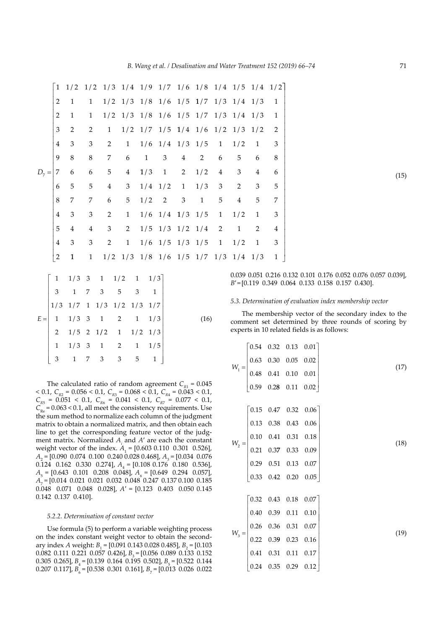|         |                |                |                 | $1 \t1/2 \t1/2 \t1/3 \t1/4 \t1/9 \t1/7 \t1/6 \t1/8 \t1/4 \t1/5 \t1/4 \t1/2$ |                |              |           |                                                       |                |                |                |                |    |  |
|---------|----------------|----------------|-----------------|-----------------------------------------------------------------------------|----------------|--------------|-----------|-------------------------------------------------------|----------------|----------------|----------------|----------------|----|--|
|         | 2              | 1              | $\mathbf{1}$    |                                                                             |                |              |           | $1/2$ $1/3$ $1/8$ $1/6$ $1/5$ $1/7$ $1/3$ $1/4$ $1/3$ |                |                |                |                | -1 |  |
|         | 2              | $\mathbf{1}$   | $\mathbf{1}$    |                                                                             |                |              |           | $1/2$ $1/3$ $1/8$ $1/6$ $1/5$ $1/7$ $1/3$ $1/4$ $1/3$ |                |                |                |                | 1  |  |
|         | 3              | $\overline{2}$ | $\overline{2}$  | 1                                                                           |                |              |           | $1/2$ $1/7$ $1/5$ $1/4$ $1/6$ $1/2$ $1/3$ $1/2$       |                |                |                |                | -2 |  |
|         | $\overline{4}$ | 3              | 3               | $\overline{2}$                                                              | 1              |              |           | $1/6$ $1/4$ $1/3$ $1/5$                               |                | $\overline{1}$ | 1/2            | 1              | 3  |  |
|         | 9              | 8              | $8\,$           | 7                                                                           | 6              | $\mathbf{1}$ | 3         | 4                                                     | $\overline{2}$ | 6              | 5              | 6              | 8  |  |
| $D_7 =$ | 7              | 6              | 6               | $5\phantom{.0}$                                                             | $4\phantom{0}$ | 1/3          |           | $1 \quad 2$                                           | 1/2            | $\overline{4}$ | 3              | $\overline{4}$ | 6  |  |
|         | 6              | 5              | $5\phantom{.0}$ | $\overline{4}$                                                              | 3 <sup>7</sup> |              | $1/4$ 1/2 | $\overline{1}$                                        | 1/3            | $\mathfrak{Z}$ | 2              | 3              | 5  |  |
|         | 8              | 7              | 7               | 6                                                                           | 5 <sup>5</sup> |              | $1/2$ 2   | 3                                                     | $\mathbf{1}$   | 5              | $\overline{4}$ | 5              | 7  |  |
|         | $\overline{4}$ | 3              | 3               | 2                                                                           | 1              |              |           | $1/6$ $1/4$ $1/3$ $1/5$                               |                | $\overline{1}$ | 1/2            | 1              | 3  |  |
|         | 5              | 4              | $\overline{4}$  | $\mathfrak{Z}$                                                              | $\mathbf{2}$   |              |           | $1/5$ $1/3$ $1/2$ $1/4$                               |                | 2              | $\mathbf{1}$   | 2              | 4  |  |
|         | $\overline{4}$ | 3              | 3               | 2                                                                           | 1              |              |           | $1/6$ $1/5$ $1/3$ $1/5$                               |                | $\overline{1}$ | 1/2            | $\mathbf{1}$   | 3  |  |
|         | $\overline{2}$ | $\mathbf{1}$   | $\mathbf{1}$    |                                                                             |                |              |           | $1/2$ $1/3$ $1/8$ $1/6$ $1/5$ $1/7$ $1/3$ $1/4$ $1/3$ |                |                |                |                | 1  |  |

|   | $\begin{bmatrix} 1 & 1/3 & 3 & 1 & 1/2 & 1 & 1/3 \\ 3 & 1 & 7 & 3 & 5 & 3 & 1 \\ 1/3 & 1/7 & 1 & 1/3 & 1/2 & 1/3 & 1/7 \end{bmatrix}$ |                                     |  |      |
|---|---------------------------------------------------------------------------------------------------------------------------------------|-------------------------------------|--|------|
|   |                                                                                                                                       |                                     |  |      |
|   | $E = \begin{vmatrix} 1 & 1/3 & 3 & 1 & 2 & 1 & 1/3 \\ 2 & 1/5 & 2 & 1/2 & 1 & 1/2 & 1/3 \end{vmatrix}$                                |                                     |  | (16) |
|   |                                                                                                                                       |                                     |  |      |
|   | $1/3$ 3 1 2 1 1/5                                                                                                                     |                                     |  |      |
| 3 |                                                                                                                                       | $1 \quad 7 \quad 3 \quad 3 \quad 5$ |  |      |

The calculated ratio of random agreement  $C_{R1} = 0.045$  $< 0.1, C_{R2} = 0.056 < 0.1, C_{R3} = 0.068 < 0.1, C_{R4} = 0.043 < 0.1,$  $C_{R5}$  = 0.051 < 0.1,  $C_{R6}$  = 0.041 < 0.1,  $C_{R7}$  = 0.077 < 0.1,  $C_{\text{Re}}$  = 0.063 < 0.1, all meet the consistency requirements. Use the sum method to normalize each column of the judgment matrix to obtain a normalized matrix, and then obtain each line to get the corresponding feature vector of the judgment matrix. Normalized  $A_i$  and  $A'$  are each the constant weight vector of the index.  $A_1 = [0.603 \ 0.110 \ 0.301 \ 0.526]$ ,  $A_2 = [0.090 \ 0.074 \ 0.100 \ 0.240 \ 0.028 \ 0.468]$ ,  $A_3 = [0.034 \ 0.076$  $0.\overline{1}24$   $0.162$   $0.330$   $0.274$ ,  $A_4 = [0.108 \ 0.176 \ 0.180 \ 0.536]$ ,  $A_5 = [0.643 \quad 0.101 \quad 0.208 \quad 0.048], A_6 = [0.649 \quad 0.294 \quad 0.057],$ *A*<sub>7</sub> = [0.014 0.021 0.021 0.032 0.048 0.247 0.137 0.100 0.185 0.048 0.071 0.048 0.028], *A*′ = [0.123 0.403 0.050 0.145 0.142 0.137 0.410].

#### *5.2.2. Determination of constant vector*

Use formula (5) to perform a variable weighting process on the index constant weight vector to obtain the secondary index *A* weight:  $B_1 = [0.091 \ 0.143 \ 0.028 \ 0.485]$ ,  $B_2 = [0.103$  $0.082$  0.111 0.221 0.057 0.426],  $B<sub>2</sub> = [0.056$  0.089 0.133 0.152 0.305 0.265],  $B_1 = [0.139 \ 0.164 \ 0.195 \ 0.502]$ ,  $B_1 = [0.522 \ 0.144]$ 0.207 0.117],  $B_6 = [0.538 \ 0.301 \ 0.161]$ ,  $B_7 = [0.013 \ 0.026 \ 0.022]$  0.039 0.051 0.216 0.132 0.101 0.176 0.052 0.076 0.057 0.039], *B*′ = [0.119 0.349 0.064 0.133 0.158 0.157 0.430].

*5.3. Determination of evaluation index membership vector*

The membership vector of the secondary index to the comment set determined by three rounds of scoring by experts in 10 related fields is as follows:

$$
W_{1} = \begin{bmatrix} 0.54 & 0.32 & 0.13 & 0.01 \\ 0.63 & 0.30 & 0.05 & 0.02 \\ 0.48 & 0.41 & 0.10 & 0.01 \\ 0.59 & 0.28 & 0.11 & 0.02 \end{bmatrix}
$$
(17)  
\n
$$
W_{2} = \begin{bmatrix} 0.15 & 0.47 & 0.32 & 0.06 \\ 0.13 & 0.38 & 0.43 & 0.06 \\ 0.10 & 0.41 & 0.31 & 0.18 \\ 0.21 & 0.37 & 0.33 & 0.09 \\ 0.33 & 0.42 & 0.20 & 0.05 \end{bmatrix}
$$
(18)  
\n
$$
W_{3} = \begin{bmatrix} 0.32 & 0.43 & 0.18 & 0.07 \\ 0.40 & 0.39 & 0.11 & 0.10 \\ 0.26 & 0.36 & 0.31 & 0.07 \\ 0.22 & 0.39 & 0.23 & 0.16 \\ 0.41 & 0.31 & 0.11 & 0.17 \\ 0.24 & 0.35 & 0.29 & 0.12 \end{bmatrix}
$$
(19)

(15)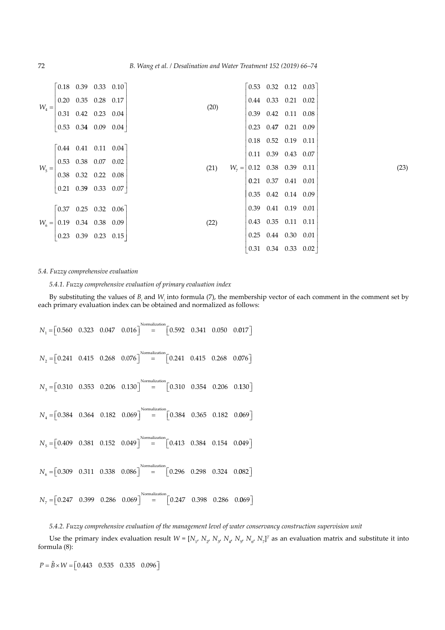| $W_4 = \begin{bmatrix} 0.20 & 0.35 & 0.28 & 0.17 \\ 0.31 & 0.42 & 0.23 & 0.04 \\ 0.53 & 0.34 & 0.09 & 0.04 \end{bmatrix}$ |  | $\begin{bmatrix} 0.18 & 0.39 & 0.33 & 0.10 \end{bmatrix}$ |                                         |                                                             | $\begin{bmatrix} 0.53 & 0.32 & 0.12 & 0.03 \end{bmatrix}$   |      |
|---------------------------------------------------------------------------------------------------------------------------|--|-----------------------------------------------------------|-----------------------------------------|-------------------------------------------------------------|-------------------------------------------------------------|------|
|                                                                                                                           |  |                                                           |                                         |                                                             | $\begin{array}{cccc} 0.44 & 0.33 & 0.21 & 0.02 \end{array}$ |      |
|                                                                                                                           |  |                                                           | (20)                                    | $\begin{array}{cccc} 0.39 & 0.42 & 0.11 & 0.08 \end{array}$ |                                                             |      |
|                                                                                                                           |  |                                                           |                                         | $\begin{array}{cccc} 0.23 & 0.47 & 0.21 & 0.09 \end{array}$ |                                                             |      |
|                                                                                                                           |  |                                                           |                                         |                                                             | $0.18$ $0.52$ $0.19$ $0.11$                                 |      |
| $W_s = \begin{vmatrix} 0.53 & 0.38 & 0.07 & 0.02 \\ 0.38 & 0.32 & 0.22 & 0.08 \end{vmatrix}$                              |  | $\begin{bmatrix} 0.44 & 0.41 & 0.11 & 0.04 \end{bmatrix}$ |                                         |                                                             | $\begin{array}{cccc} 0.11 & 0.39 & 0.43 & 0.07 \end{array}$ |      |
|                                                                                                                           |  |                                                           | (21) $W_7 =  0.12 \t0.38 \t0.39 \t0.11$ |                                                             |                                                             |      |
|                                                                                                                           |  |                                                           |                                         |                                                             |                                                             |      |
|                                                                                                                           |  |                                                           |                                         | $\begin{bmatrix} 0.21 & 0.37 & 0.41 & 0.01 \end{bmatrix}$   |                                                             |      |
|                                                                                                                           |  |                                                           |                                         |                                                             | $0.35$ $0.42$ $0.14$ $0.09$                                 |      |
| $W_6 = \begin{bmatrix} 0.19 & 0.34 & 0.38 & 0.09 \\ 0.23 & 0.39 & 0.23 & 0.15 \end{bmatrix}$                              |  | $\begin{bmatrix} 0.37 & 0.25 & 0.32 & 0.06 \end{bmatrix}$ |                                         |                                                             | $\begin{array}{cccc} 0.39 & 0.41 & 0.19 & 0.01 \end{array}$ |      |
|                                                                                                                           |  |                                                           | (22)                                    | $\begin{array}{ ccc} 0.43 & 0.35 & 0.11 \end{array}$        |                                                             | 0.11 |
|                                                                                                                           |  |                                                           |                                         | $\begin{bmatrix} 0.25 & 0.44 & 0.30 & 0.01 \end{bmatrix}$   |                                                             |      |
|                                                                                                                           |  |                                                           |                                         |                                                             | $0.31$ $0.34$ $0.33$ $0.02$                                 |      |

# *5.4. Fuzzy comprehensive evaluation*

*5.4.1. Fuzzy comprehensive evaluation of primary evaluation index*

By substituting the values of  $B_i$  and  $W_i$  into formula (7), the membership vector of each comment in the comment set by each primary evaluation index can be obtained and normalized as follows:

$$
N_{1} = [0.560 \quad 0.323 \quad 0.047 \quad 0.016] \text{Normalization} = [0.592 \quad 0.341 \quad 0.050 \quad 0.017]
$$
\n
$$
N_{2} = [0.241 \quad 0.415 \quad 0.268 \quad 0.076] \text{Normalization} = [0.241 \quad 0.415 \quad 0.268 \quad 0.076]
$$
\n
$$
N_{3} = [0.310 \quad 0.353 \quad 0.206 \quad 0.130] \text{Normalization} = [0.310 \quad 0.354 \quad 0.206 \quad 0.130]
$$
\n
$$
N_{4} = [0.384 \quad 0.364 \quad 0.182 \quad 0.069] \text{Normalization} = [0.384 \quad 0.365 \quad 0.182 \quad 0.069]
$$
\n
$$
N_{5} = [0.409 \quad 0.381 \quad 0.152 \quad 0.049] \text{Normalization} = [0.413 \quad 0.384 \quad 0.154 \quad 0.049]
$$
\n
$$
N_{6} = [0.309 \quad 0.311 \quad 0.338 \quad 0.086] \text{Normalization} = [0.296 \quad 0.298 \quad 0.324 \quad 0.082]
$$
\n
$$
N_{7} = [0.247 \quad 0.399 \quad 0.286 \quad 0.069] \text{Normalization} = [0.247 \quad 0.398 \quad 0.286 \quad 0.069]
$$

*5.4.2. Fuzzy comprehensive evaluation of the management level of water conservancy construction supervision unit*

Use the primary index evaluation result  $W = [N_1, N_2, N_3, N_4, N_5, N_6, N_7]^T$  as an evaluation matrix and substitute it into formula (8):

 $P = \tilde{B} \times W = \begin{bmatrix} 0.443 & 0.535 & 0.335 & 0.096 \end{bmatrix}$ 

(23)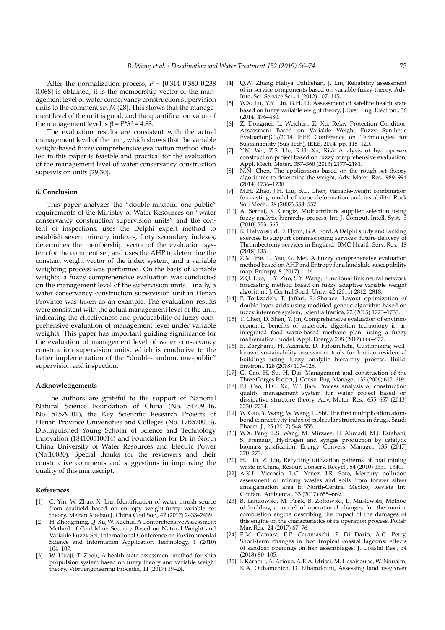After the normalization process,  $P = [0.314 \ 0.380 \ 0.238]$ 0.068] is obtained, it is the membership vector of the management level of water conservancy construction supervision units to the comment set *M* [28]. This shows that the management level of the unit is good, and the quantification value of the management level is  $\beta = P^* \lambda^T = 4.88$ .

The evaluation results are consistent with the actual management level of the unit, which shows that the variable weight-based fuzzy comprehensive evaluation method studied in this paper is feasible and practical for the evaluation of the management level of water conservancy construction supervision units [29,30].

## **6. Conclusion**

This paper analyzes the "double-random, one-public" requirements of the Ministry of Water Resources on "water conservancy construction supervision units" and the content of inspections, uses the Delphi expert method to establish seven primary indexes, forty secondary indexes, determines the membership vector of the evaluation system for the comment set, and uses the AHP to determine the constant weight vector of the index system, and a variable weighting process was performed. On the basis of variable weights, a fuzzy comprehensive evaluation was conducted on the management level of the supervision units. Finally, a water conservancy construction supervision unit in Henan Province was taken as an example. The evaluation results were consistent with the actual management level of the unit, indicating the effectiveness and practicability of fuzzy comprehensive evaluation of management level under variable weights. This paper has important guiding significance for the evaluation of management level of water conservancy construction supervision units, which is conducive to the better implementation of the "double-random, one-public" supervision and inspection.

#### **Acknowledgements**

The authors are grateful to the support of National Natural Science Foundation of China (No. 51709116, No. 51579101), the Key Scientific Research Projects of Henan Province Universities and Colleges (No. 17B570003), Distinguished Young Scholar of Science and Technology Innovation (184100510014) and Foundation for Dr in North China University of Water Resources and Electric Power (No.10030). Special thanks for the reviewers and their constructive comments and suggestions in improving the quality of this manuscript.

#### **References**

- [1] C. Yin, W. Zhao, X. Liu, Identification of water inrush source from coalfield based on entropy weight-fuzzy variable set theory, Meitan Xuebao J. China Coal Soc., 42 (2017) 2433–2439.
- H. Zhongming, Q. Xu, W. Xuehui, A Comprehensive Assessment Method of Coal Mine Security Based on Natural Weight and Variable Fuzzy Set, International Conference on Environmental Science and Information Application Technology, 1 (2010) 104–107.
- [3] W. Huaji, T. Zhou, A health state assessment method for ship propulsion system based on fuzzy theory and variable weight theory, Vibroengineering Procedia, 11 (2017) 19–24.
- [4] Q.W. Zhang Haliya Daliliehan, J. Lin, Reliability assessment of in-service components based on variable fuzzy theory, Adv. Info. Sci. Service Sci., 4 (2012) 107–115.
- [5] W.X. Lu, Y.Y. Liu, G.H. Li, Assessment of satellite health state based on fuzzy variable weight theory, J. Syst. Eng. Electron., 36 (2014) 476–480.
- [6] Z. Dongmei, L. Weichen, Z. Xu, Relay Protection Condition Assessment Based on Variable Weight Fuzzy Synthetic Evaluation[C]//2014 IEEE Conference on Technologies for Sustainability (Sus Tech), IEEE, 2014, pp. 115–120.
- Y.N. Wu, Z.S. Hu, R.H. Xu, Risk Analysis of hydropower construction project based on fuzzy comprehensive evaluation, Appl. Mech. Mater., 357–360 (2013) 2177–2181.
- [8] N.N. Chen, The applications based on the rough set theory algorithms to determine the weight, Adv. Mater. Res., 989–994 (2014) 1736–1738.
- [9] M.H. Zhao, J.H. Liu, B.C. Chen, Variable-weight combination forecasting model of slope deformation and instability, Rock Soil Mech., 28 (2007) 553–557.
- [10] A. Serhat, K. Cengiz, Multiattribute supplier selection using fuzzy analytic hierarchy process, Int. J. Comput. Intell. Syst., 3 (2010) 553–565.
- [11] K. Halvorsrud, D. Flynn, G.A. Ford, A Delphi study and ranking exercise to support commissioning services: future delivery of Thrombectomy services in England, BMC Health Serv. Res., 18 (2018) 135.
- [12] Z.M. He, L. Yao, G. Mei, A Fuzzy comprehensive evaluation method based on AHP and Entropy for a landslide susceptibility map, Entropy, 8 (2017) 1–16.
- [13] Z.Q. Luo, H.Y. Zuo, S.Y. Wang, Functional link neural network forecasting method based on fuzzy adaptive variable weight algorithm, J. Central South Univ., 42 (2011) 2812–2818.
- [14] P. Torkzadeh, T. Jaffari, S. Shojaee, Layout optimization of double-layer grids using modified genetic algorithm based on fuzzy inference system, Scientia Iranica, 22 (2015) 1723–1733.
- [15] T. Chen, D. Shen, Y. Jin, Comprehensive evaluation of environeconomic benefits of anaerobic digestion technology in an integrated food waste-based methane plant using a fuzzy mathematical model, Appl. Energy, 208 (2017) 666–677.
- [16] E. Zarghami, H. Azemati, D. Fatourehchi, Customizing wellknown sustainability assessment tools for Iranian residential buildings using fuzzy analytic hierarchy process, Build. Environ., 128 (2018) 107-128.
- [17] G. Cao, H. Su, H. Dai, Management and construction of the Three Gorges Project, J. Constr. Eng. Manage., 132 (2006) 615–619.
- [18] F.J. Cao, H.C. Xu, Y.T. Jiao, Process analysis of construction quality management system for water project based on dissipative structure theory, Adv. Mater. Res., 655–657 (2013) 2230–2234.
- [19] W. Gao, Y. Wang, W. Wang, L. Shi, The first multiplication atombond connectivity index of molecular structures in drugs, Saudi Pharm. J., 25 (2017) 548–555.
- [20] W.X. Peng, L.S. Wang, M. Mirzaee, H. Ahmadi, M.J. Esfahani, S. Fremaux, Hydrogen and syngas production by catalytic biomass gasification, Energy Convers. Manage., 135 (2017) 270–273.
- [21] H. Liu, Z. Liu, Recycling utilization patterns of coal mining waste in China, Resour. Conserv. Recycl., 54 (2010) 1331–1340.
- [22] A.K.L. Vicencio, L.C. Yañez, I.R. Soto, Mercury pollution assessment of mining wastes and soils from former silver amalgamation area in North-Central Mexico, Revista Int. Contam. Ambiental, 33 (2017) 655–669.
- [23] B. Landowski, M. Pajak, B. Zoltowski, L. Muslewski, Method of building a model of operational changes for the marine combustion engine describing the impact of the damages of this engine on the characteristics of its operation process, Polish Mar. Res., 24 (2017) 67–76.
- [24] E.M. Camara, E.P. Caramaschi, F. Di Dario, A.C. Petry, Short-term changes in two tropical coastal lagoons: effects of sandbar openings on fish assemblages, J. Coastal Res., 34 (2018) 90–105.
- [25] I. Karaoui, A. Arioua, A.E.A. Idrissi, M. Hssaisoune, W. Nouaim, K.A. Ouhamchich, D. Elhamdouni, Assessing land use/cover